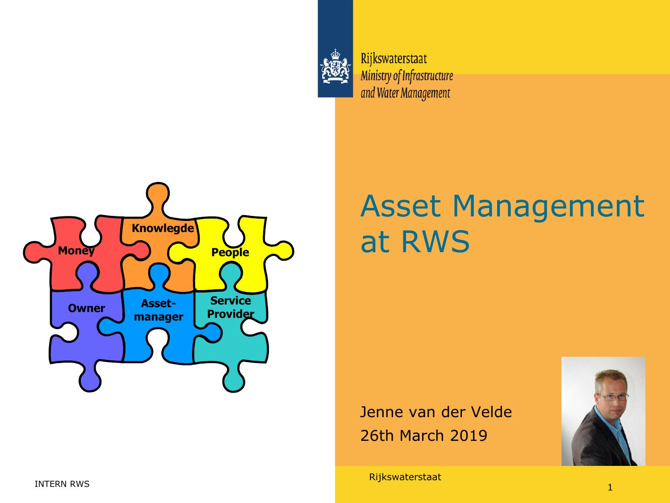

Rijkswaterstaat Ministry of Infrastructure and Water Management



# Asset Management at RWS

Jenne van der Velde 26th March 2019

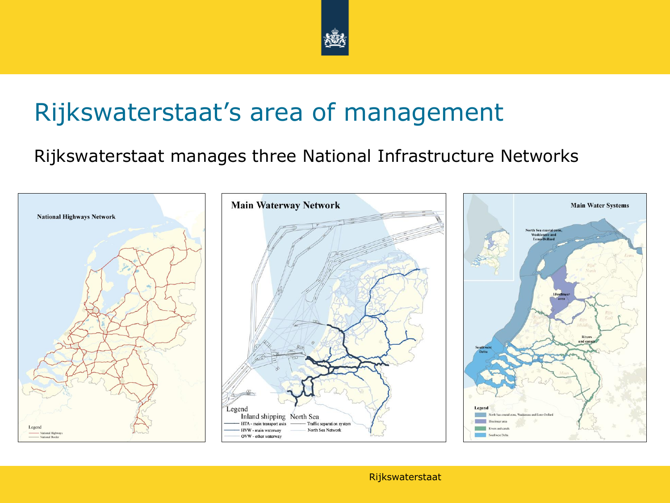

#### Rijkswaterstaat's area of management

#### Rijkswaterstaat manages three National Infrastructure Networks

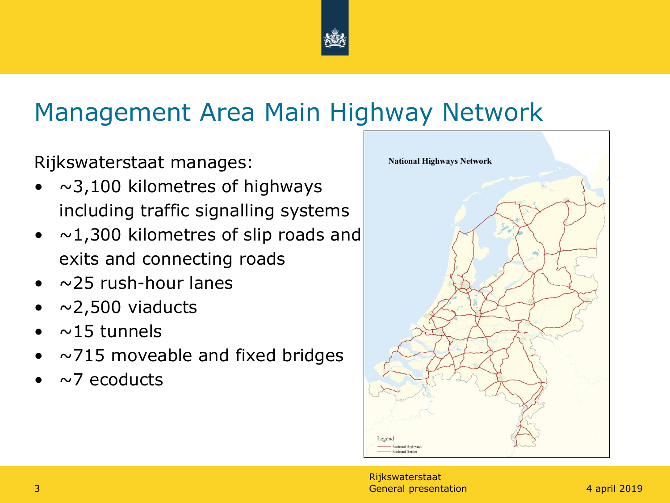

#### Management Area Main Highway Network

Rijkswaterstaat manages:

- $\sim$ 3,100 kilometres of highways including traffic signalling systems
- $\sim$ 1,300 kilometres of slip roads and exits and connecting roads
- $\sim$ 25 rush-hour lanes
- $\sim$ 2,500 viaducts
- $\sim$ 15 tunnels
- $\sim$ 715 moveable and fixed bridges
- $\sim$ 7 ecoducts

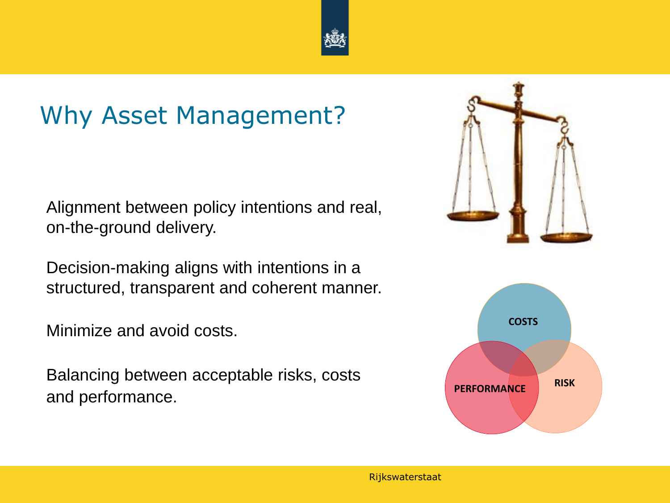

#### Why Asset Management?

Alignment between policy intentions and real, on-the-ground delivery.

Decision-making aligns with intentions in a structured, transparent and coherent manner.

Minimize and avoid costs.

Balancing between acceptable risks, costs and performance.



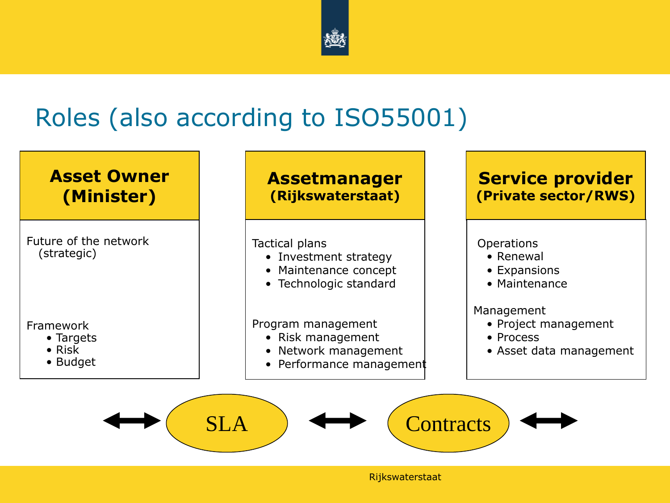

#### Roles (also according to ISO55001)

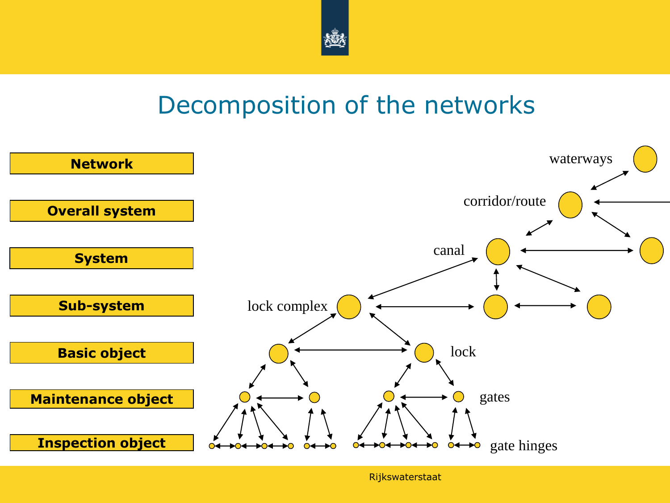

#### Decomposition of the networks

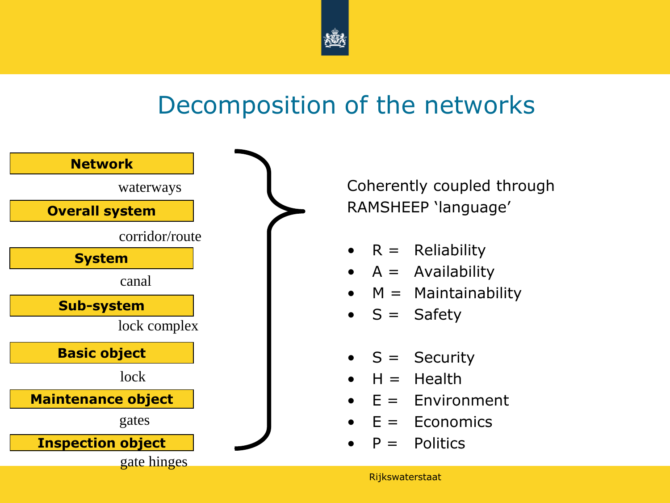

#### Decomposition of the networks



waterways and the Coherently coupled through waterways RAMSHEEP 'language'

- $R =$  Reliability
- $A =$  Availability
- $\bullet$  M = Maintainability
- $S =$  Safety
- $S =$  Security
- $H =$ Health
- $E =$  Environment
- $F =$  Fronomics
- $P =$  Politics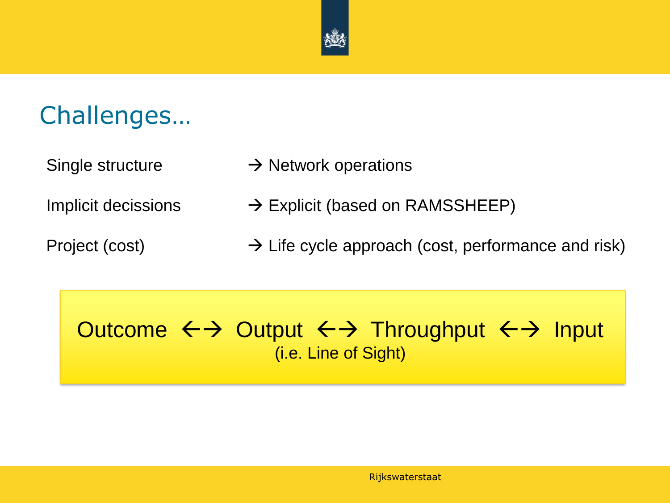

#### Challenges…

Single structure  $\rightarrow$  Network operations

- 
- Implicit decissions  $\rightarrow$  Explicit (based on RAMSSHEEP)
- Project (cost)  $\rightarrow$  Life cycle approach (cost, performance and risk)

#### Outcome  $\leftrightarrow$  Output  $\leftrightarrow$  Throughput  $\leftrightarrow$  Input (i.e. Line of Sight)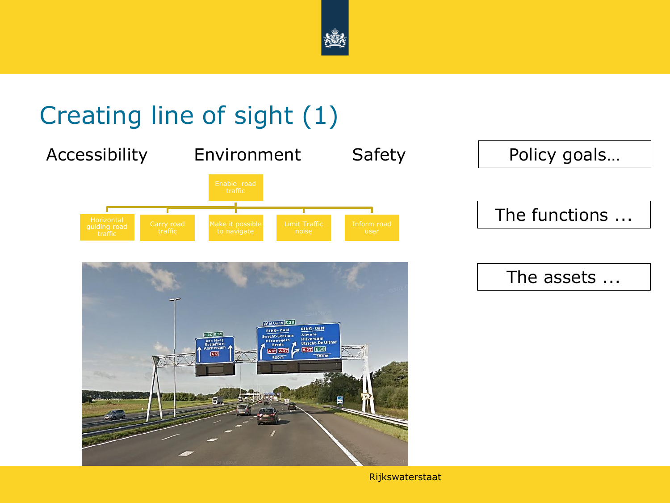

### Creating line of sight (1)





| Policy goals  |  |  |
|---------------|--|--|
| The functions |  |  |
|               |  |  |
| The assets    |  |  |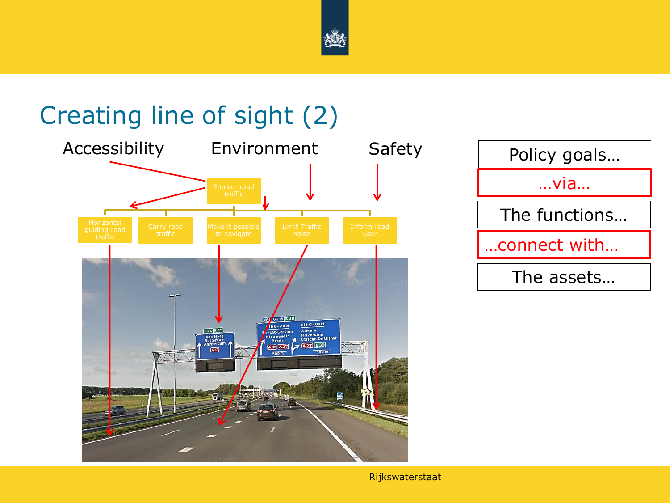

#### Creating line of sight (2)



| Policy goals  |
|---------------|
| via           |
| The functions |
| connect with  |
| The assets    |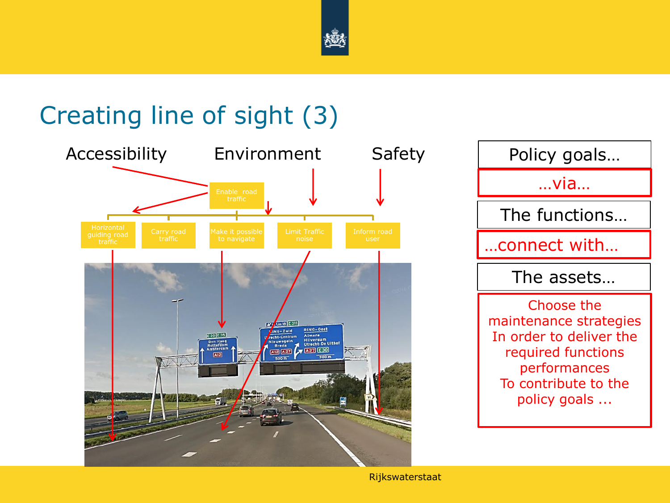

#### Creating line of sight (3)



| Policy goals                                                                                                                                  |  |  |
|-----------------------------------------------------------------------------------------------------------------------------------------------|--|--|
| …via…                                                                                                                                         |  |  |
| The functions                                                                                                                                 |  |  |
| connect with                                                                                                                                  |  |  |
| The assets                                                                                                                                    |  |  |
| Choose the<br>maintenance strategies<br>In order to deliver the<br>required functions<br>performances<br>To contribute to the<br>policy goals |  |  |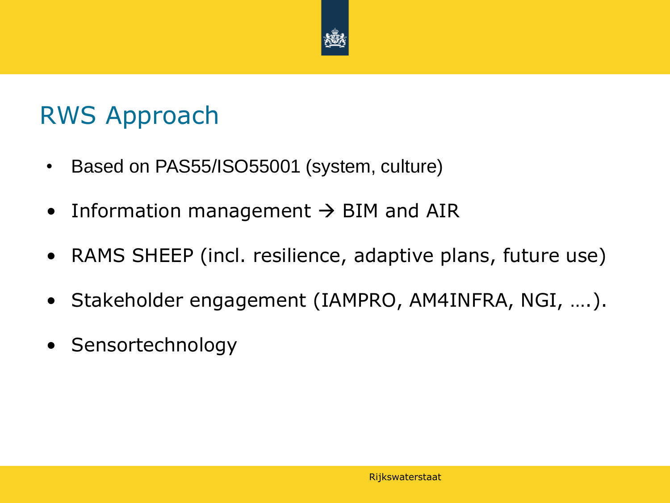

#### RWS Approach

- Based on PAS55/ISO55001 (system, culture)
- Information management  $\rightarrow$  BIM and AIR
- RAMS SHEEP (incl. resilience, adaptive plans, future use)
- Stakeholder engagement (IAMPRO, AM4INFRA, NGI, ….).
- Sensortechnology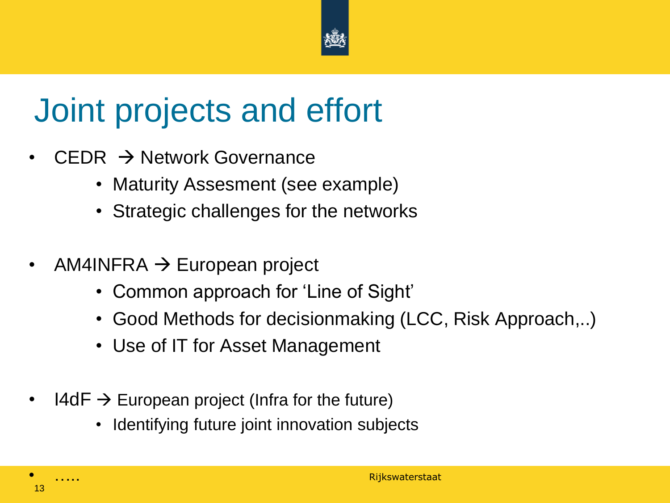

# Joint projects and effort

- CEDR  $\rightarrow$  Network Governance
	- Maturity Assesment (see example)
	- Strategic challenges for the networks
- AM4INFRA  $\rightarrow$  European project
	- Common approach for 'Line of Sight'
	- Good Methods for decisionmaking (LCC, Risk Approach,..)
	- Use of IT for Asset Management
- I4dF  $\rightarrow$  European project (Infra for the future)
	- Identifying future joint innovation subjects

• …..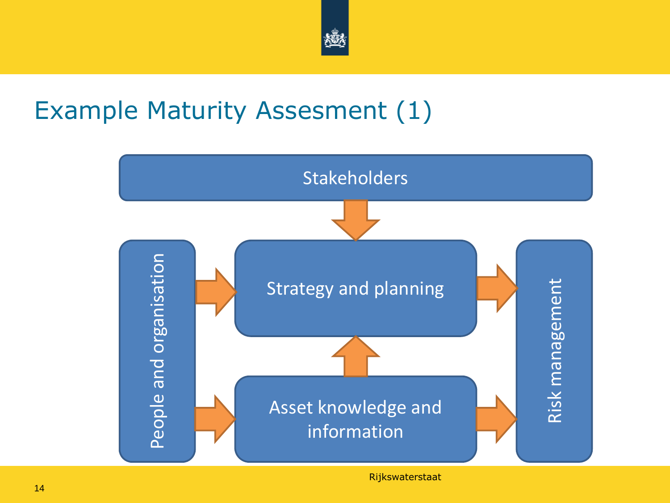

#### Example Maturity Assesment (1)

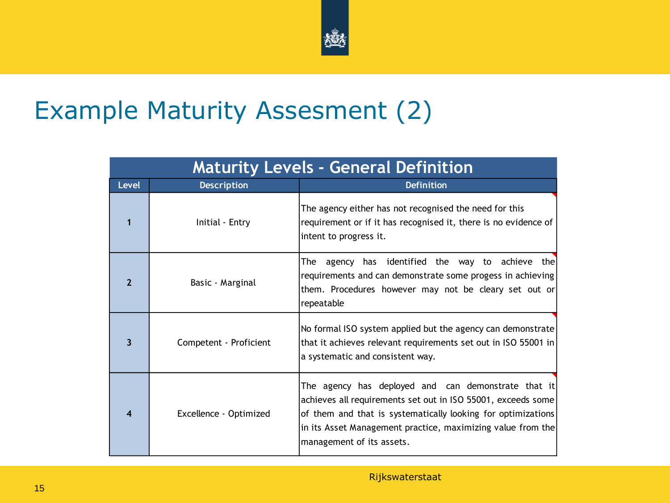

#### Example Maturity Assesment (2)

| <b>Maturity Levels - General Definition</b> |                        |                                                                                                                                                                                                                                                                                 |  |
|---------------------------------------------|------------------------|---------------------------------------------------------------------------------------------------------------------------------------------------------------------------------------------------------------------------------------------------------------------------------|--|
| <b>Level</b>                                | <b>Description</b>     | <b>Definition</b>                                                                                                                                                                                                                                                               |  |
| 1                                           | Initial - Entry        | The agency either has not recognised the need for this<br>requirement or if it has recognised it, there is no evidence of<br>intent to progress it.                                                                                                                             |  |
| $\overline{\mathbf{z}}$                     | Basic - Marginal       | agency has identified the way to achieve the<br>The .<br>requirements and can demonstrate some progess in achieving<br>them. Procedures however may not be cleary set out or<br>repeatable                                                                                      |  |
| 3                                           | Competent - Proficient | No formal ISO system applied but the agency can demonstrate<br>that it achieves relevant requirements set out in ISO 55001 in<br>a systematic and consistent way.                                                                                                               |  |
| 4                                           | Excellence - Optimized | The agency has deployed and can demonstrate that it<br>achieves all requirements set out in ISO 55001, exceeds some<br>of them and that is systematically looking for optimizations<br>in its Asset Management practice, maximizing value from the<br>management of its assets. |  |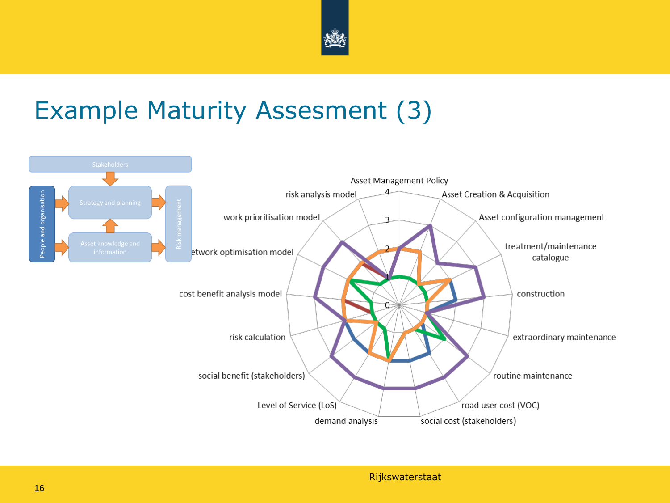

#### Example Maturity Assesment (3)

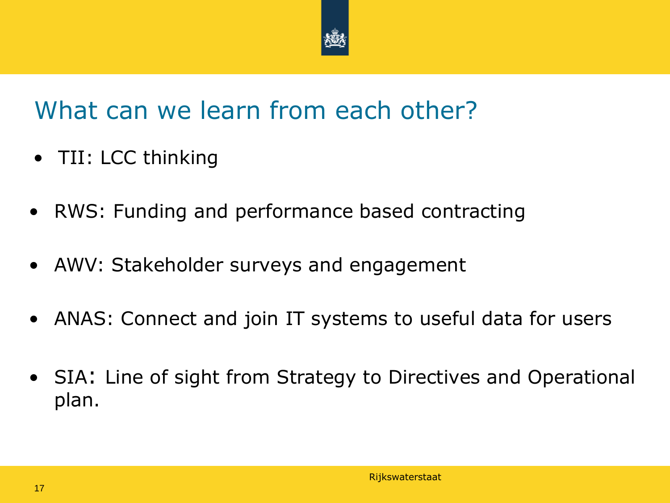

#### What can we learn from each other?

- TII: LCC thinking
- RWS: Funding and performance based contracting
- AWV: Stakeholder surveys and engagement
- ANAS: Connect and join IT systems to useful data for users
- SIA: Line of sight from Strategy to Directives and Operational plan.